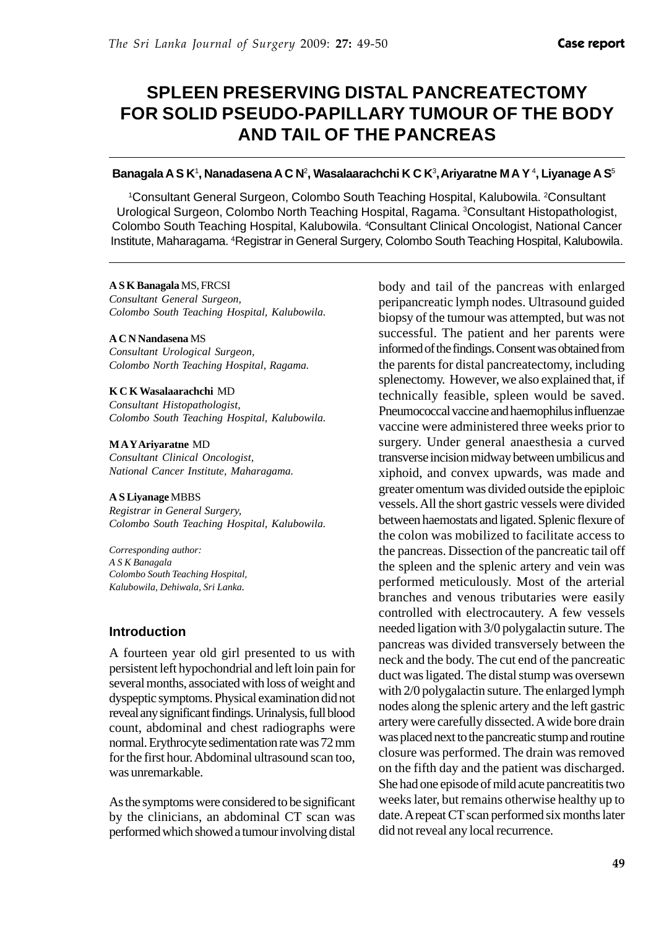# **SPLEEN PRESERVING DISTAL PANCREATECTOMY FOR SOLID PSEUDO-PAPILLARY TUMOUR OF THE BODY AND TAIL OF THE PANCREAS**

#### **Banagala A S K<sup>1</sup>, Nanadasena A C N<sup>2</sup>, Wasalaarachchi K C K<sup>3</sup>, Ariyaratne M A Y<sup>4</sup>, Liyanage A S<sup>5</sup>**

<sup>1</sup>Consultant General Surgeon, Colombo South Teaching Hospital, Kalubowila. <sup>2</sup>Consultant Urological Surgeon, Colombo North Teaching Hospital, Ragama. 3 Consultant Histopathologist, Colombo South Teaching Hospital, Kalubowila. <sup>4</sup>Consultant Clinical Oncologist, National Cancer Institute, Maharagama. 4 Registrar in General Surgery, Colombo South Teaching Hospital, Kalubowila.

#### **A S K Banagala** MS, FRCSI

*Consultant General Surgeon, Colombo South Teaching Hospital, Kalubowila.*

#### **A C N Nandasena** MS

*Consultant Urological Surgeon, Colombo North Teaching Hospital, Ragama.*

#### **K C K Wasalaarachchi** MD

*Consultant Histopathologist, Colombo South Teaching Hospital, Kalubowila.*

#### **M A Y Ariyaratne** MD

*Consultant Clinical Oncologist, National Cancer Institute, Maharagama.*

#### **A S Liyanage** MBBS

*Registrar in General Surgery, Colombo South Teaching Hospital, Kalubowila.*

*Corresponding author: A S K Banagala Colombo South Teaching Hospital, Kalubowila, Dehiwala, Sri Lanka.*

### **Introduction**

A fourteen year old girl presented to us with persistent left hypochondrial and left loin pain for several months, associated with loss of weight and dyspeptic symptoms. Physical examination did not reveal any significant findings. Urinalysis, full blood count, abdominal and chest radiographs were normal. Erythrocyte sedimentation rate was 72 mm for the first hour. Abdominal ultrasound scan too, was unremarkable.

As the symptoms were considered to be significant by the clinicians, an abdominal CT scan was performed which showed a tumour involving distal body and tail of the pancreas with enlarged peripancreatic lymph nodes. Ultrasound guided biopsy of the tumour was attempted, but was not successful. The patient and her parents were informed of the findings. Consent was obtained from the parents for distal pancreatectomy, including splenectomy. However, we also explained that, if technically feasible, spleen would be saved. Pneumococcal vaccine and haemophilus influenzae vaccine were administered three weeks prior to surgery. Under general anaesthesia a curved transverse incision midway between umbilicus and xiphoid, and convex upwards, was made and greater omentum was divided outside the epiploic vessels. All the short gastric vessels were divided between haemostats and ligated. Splenic flexure of the colon was mobilized to facilitate access to the pancreas. Dissection of the pancreatic tail off the spleen and the splenic artery and vein was performed meticulously. Most of the arterial branches and venous tributaries were easily controlled with electrocautery. A few vessels needed ligation with 3/0 polygalactin suture. The pancreas was divided transversely between the neck and the body. The cut end of the pancreatic duct was ligated. The distal stump was oversewn with 2/0 polygalactin suture. The enlarged lymph nodes along the splenic artery and the left gastric artery were carefully dissected. A wide bore drain was placed next to the pancreatic stump and routine closure was performed. The drain was removed on the fifth day and the patient was discharged. She had one episode of mild acute pancreatitis two weeks later, but remains otherwise healthy up to date. A repeat CT scan performed six months later did not reveal any local recurrence.